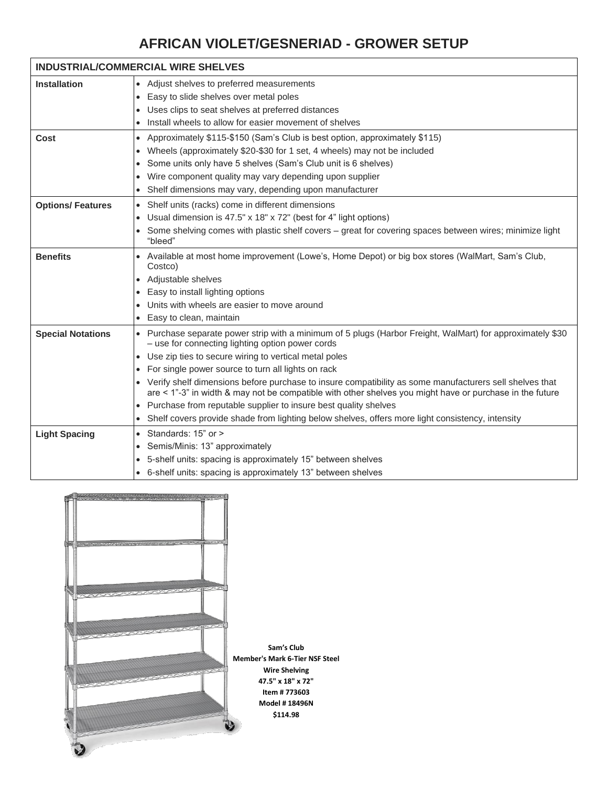# **AFRICAN VIOLET/GESNERIAD - GROWER SETUP**

| <b>INDUSTRIAL/COMMERCIAL WIRE SHELVES</b> |                                                                                                                                                                                                                       |  |  |  |  |  |  |
|-------------------------------------------|-----------------------------------------------------------------------------------------------------------------------------------------------------------------------------------------------------------------------|--|--|--|--|--|--|
| <b>Installation</b>                       | • Adjust shelves to preferred measurements                                                                                                                                                                            |  |  |  |  |  |  |
|                                           | • Easy to slide shelves over metal poles                                                                                                                                                                              |  |  |  |  |  |  |
|                                           | Uses clips to seat shelves at preferred distances                                                                                                                                                                     |  |  |  |  |  |  |
|                                           | Install wheels to allow for easier movement of shelves                                                                                                                                                                |  |  |  |  |  |  |
| Cost                                      | • Approximately \$115-\$150 (Sam's Club is best option, approximately \$115)                                                                                                                                          |  |  |  |  |  |  |
|                                           | Wheels (approximately \$20-\$30 for 1 set, 4 wheels) may not be included                                                                                                                                              |  |  |  |  |  |  |
|                                           | Some units only have 5 shelves (Sam's Club unit is 6 shelves)                                                                                                                                                         |  |  |  |  |  |  |
|                                           | Wire component quality may vary depending upon supplier                                                                                                                                                               |  |  |  |  |  |  |
|                                           | Shelf dimensions may vary, depending upon manufacturer                                                                                                                                                                |  |  |  |  |  |  |
| <b>Options/ Features</b>                  | • Shelf units (racks) come in different dimensions                                                                                                                                                                    |  |  |  |  |  |  |
|                                           | • Usual dimension is 47.5" x 18" x 72" (best for 4" light options)                                                                                                                                                    |  |  |  |  |  |  |
|                                           | Some shelving comes with plastic shelf covers - great for covering spaces between wires; minimize light<br>$\bullet$<br>"bleed"                                                                                       |  |  |  |  |  |  |
| <b>Benefits</b>                           | • Available at most home improvement (Lowe's, Home Depot) or big box stores (WalMart, Sam's Club,<br>Costco)                                                                                                          |  |  |  |  |  |  |
|                                           | • Adjustable shelves                                                                                                                                                                                                  |  |  |  |  |  |  |
|                                           | Easy to install lighting options<br>$\bullet$                                                                                                                                                                         |  |  |  |  |  |  |
|                                           | Units with wheels are easier to move around                                                                                                                                                                           |  |  |  |  |  |  |
|                                           | • Easy to clean, maintain                                                                                                                                                                                             |  |  |  |  |  |  |
| <b>Special Notations</b>                  | • Purchase separate power strip with a minimum of 5 plugs (Harbor Freight, WalMart) for approximately \$30<br>- use for connecting lighting option power cords                                                        |  |  |  |  |  |  |
|                                           | Use zip ties to secure wiring to vertical metal poles<br>$\bullet$                                                                                                                                                    |  |  |  |  |  |  |
|                                           | • For single power source to turn all lights on rack                                                                                                                                                                  |  |  |  |  |  |  |
|                                           | • Verify shelf dimensions before purchase to insure compatibility as some manufacturers sell shelves that<br>are < 1"-3" in width & may not be compatible with other shelves you might have or purchase in the future |  |  |  |  |  |  |
|                                           | • Purchase from reputable supplier to insure best quality shelves                                                                                                                                                     |  |  |  |  |  |  |
|                                           | Shelf covers provide shade from lighting below shelves, offers more light consistency, intensity                                                                                                                      |  |  |  |  |  |  |
| <b>Light Spacing</b>                      | • Standards: 15" or >                                                                                                                                                                                                 |  |  |  |  |  |  |
|                                           | Semis/Minis: 13" approximately                                                                                                                                                                                        |  |  |  |  |  |  |
|                                           | • 5-shelf units: spacing is approximately 15" between shelves                                                                                                                                                         |  |  |  |  |  |  |
|                                           | • 6-shelf units: spacing is approximately 13" between shelves                                                                                                                                                         |  |  |  |  |  |  |

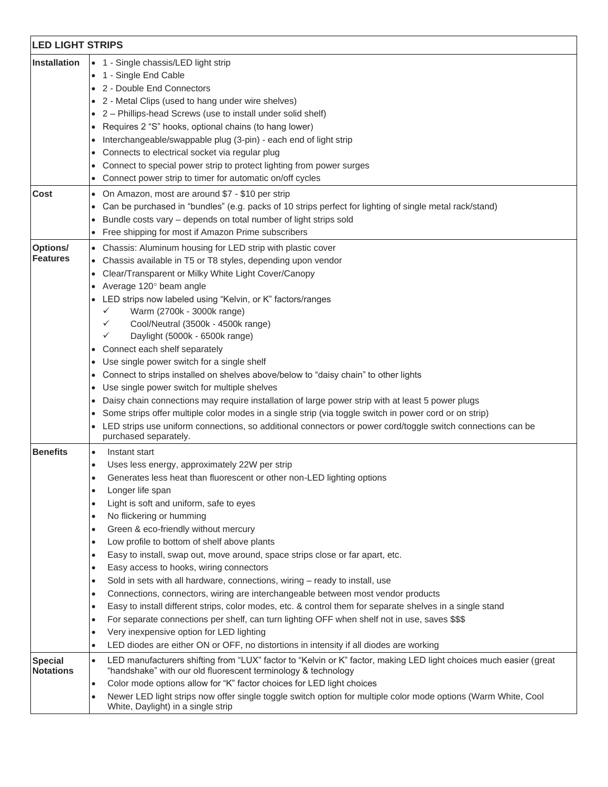|                                    | <b>LED LIGHT STRIPS</b>                                                                                                                                                                         |  |  |  |  |  |  |
|------------------------------------|-------------------------------------------------------------------------------------------------------------------------------------------------------------------------------------------------|--|--|--|--|--|--|
| <b>Installation</b>                | • 1 - Single chassis/LED light strip                                                                                                                                                            |  |  |  |  |  |  |
|                                    | • 1 - Single End Cable                                                                                                                                                                          |  |  |  |  |  |  |
|                                    | • 2 - Double End Connectors                                                                                                                                                                     |  |  |  |  |  |  |
|                                    | • 2 - Metal Clips (used to hang under wire shelves)                                                                                                                                             |  |  |  |  |  |  |
|                                    | • 2 - Phillips-head Screws (use to install under solid shelf)                                                                                                                                   |  |  |  |  |  |  |
|                                    | Requires 2 "S" hooks, optional chains (to hang lower)<br>$\bullet$                                                                                                                              |  |  |  |  |  |  |
|                                    | Interchangeable/swappable plug (3-pin) - each end of light strip                                                                                                                                |  |  |  |  |  |  |
|                                    | Connects to electrical socket via regular plug                                                                                                                                                  |  |  |  |  |  |  |
|                                    | Connect to special power strip to protect lighting from power surges                                                                                                                            |  |  |  |  |  |  |
|                                    | Connect power strip to timer for automatic on/off cycles                                                                                                                                        |  |  |  |  |  |  |
| Cost                               | • On Amazon, most are around \$7 - \$10 per strip                                                                                                                                               |  |  |  |  |  |  |
|                                    | Can be purchased in "bundles" (e.g. packs of 10 strips perfect for lighting of single metal rack/stand)<br>$\bullet$                                                                            |  |  |  |  |  |  |
|                                    | Bundle costs vary - depends on total number of light strips sold<br>$\bullet$                                                                                                                   |  |  |  |  |  |  |
|                                    | Free shipping for most if Amazon Prime subscribers                                                                                                                                              |  |  |  |  |  |  |
|                                    |                                                                                                                                                                                                 |  |  |  |  |  |  |
| Options/<br><b>Features</b>        | • Chassis: Aluminum housing for LED strip with plastic cover                                                                                                                                    |  |  |  |  |  |  |
|                                    | Chassis available in T5 or T8 styles, depending upon vendor<br>$\bullet$                                                                                                                        |  |  |  |  |  |  |
|                                    | Clear/Transparent or Milky White Light Cover/Canopy<br>$\bullet$                                                                                                                                |  |  |  |  |  |  |
|                                    | Average 120° beam angle<br>LED strips now labeled using "Kelvin, or K" factors/ranges                                                                                                           |  |  |  |  |  |  |
|                                    | Warm (2700k - 3000k range)<br>✓                                                                                                                                                                 |  |  |  |  |  |  |
|                                    | Cool/Neutral (3500k - 4500k range)<br>$\checkmark$                                                                                                                                              |  |  |  |  |  |  |
|                                    | Daylight (5000k - 6500k range)<br>✓                                                                                                                                                             |  |  |  |  |  |  |
|                                    | • Connect each shelf separately                                                                                                                                                                 |  |  |  |  |  |  |
|                                    | Use single power switch for a single shelf<br>$\bullet$                                                                                                                                         |  |  |  |  |  |  |
|                                    | Connect to strips installed on shelves above/below to "daisy chain" to other lights                                                                                                             |  |  |  |  |  |  |
|                                    | $\bullet$<br>Use single power switch for multiple shelves                                                                                                                                       |  |  |  |  |  |  |
|                                    | Daisy chain connections may require installation of large power strip with at least 5 power plugs                                                                                               |  |  |  |  |  |  |
|                                    | Some strips offer multiple color modes in a single strip (via toggle switch in power cord or on strip)                                                                                          |  |  |  |  |  |  |
|                                    | LED strips use uniform connections, so additional connectors or power cord/toggle switch connections can be                                                                                     |  |  |  |  |  |  |
|                                    | purchased separately.                                                                                                                                                                           |  |  |  |  |  |  |
| <b>Benefits</b>                    | Instant start<br>$\bullet$                                                                                                                                                                      |  |  |  |  |  |  |
|                                    | Uses less energy, approximately 22W per strip<br>$\bullet$                                                                                                                                      |  |  |  |  |  |  |
|                                    | Generates less heat than fluorescent or other non-LED lighting options<br>٠                                                                                                                     |  |  |  |  |  |  |
|                                    | Longer life span<br>$\bullet$                                                                                                                                                                   |  |  |  |  |  |  |
|                                    | Light is soft and uniform, safe to eyes<br>$\bullet$                                                                                                                                            |  |  |  |  |  |  |
|                                    | No flickering or humming<br>$\bullet$                                                                                                                                                           |  |  |  |  |  |  |
|                                    | Green & eco-friendly without mercury<br>$\bullet$                                                                                                                                               |  |  |  |  |  |  |
|                                    | Low profile to bottom of shelf above plants<br>$\bullet$                                                                                                                                        |  |  |  |  |  |  |
|                                    | Easy to install, swap out, move around, space strips close or far apart, etc.<br>$\bullet$                                                                                                      |  |  |  |  |  |  |
|                                    | Easy access to hooks, wiring connectors<br>$\bullet$                                                                                                                                            |  |  |  |  |  |  |
|                                    | Sold in sets with all hardware, connections, wiring - ready to install, use<br>٠                                                                                                                |  |  |  |  |  |  |
|                                    | Connections, connectors, wiring are interchangeable between most vendor products<br>$\bullet$                                                                                                   |  |  |  |  |  |  |
|                                    | Easy to install different strips, color modes, etc. & control them for separate shelves in a single stand<br>$\bullet$                                                                          |  |  |  |  |  |  |
|                                    | For separate connections per shelf, can turn lighting OFF when shelf not in use, saves \$\$\$<br>$\bullet$                                                                                      |  |  |  |  |  |  |
|                                    | Very inexpensive option for LED lighting<br>٠                                                                                                                                                   |  |  |  |  |  |  |
|                                    | LED diodes are either ON or OFF, no distortions in intensity if all diodes are working<br>$\bullet$                                                                                             |  |  |  |  |  |  |
|                                    |                                                                                                                                                                                                 |  |  |  |  |  |  |
| <b>Special</b><br><b>Notations</b> | LED manufacturers shifting from "LUX" factor to "Kelvin or K" factor, making LED light choices much easier (great<br>$\bullet$<br>"handshake" with our old fluorescent terminology & technology |  |  |  |  |  |  |
|                                    | Color mode options allow for "K" factor choices for LED light choices<br>$\bullet$                                                                                                              |  |  |  |  |  |  |
|                                    | Newer LED light strips now offer single toggle switch option for multiple color mode options (Warm White, Cool<br>$\bullet$                                                                     |  |  |  |  |  |  |
|                                    | White, Daylight) in a single strip                                                                                                                                                              |  |  |  |  |  |  |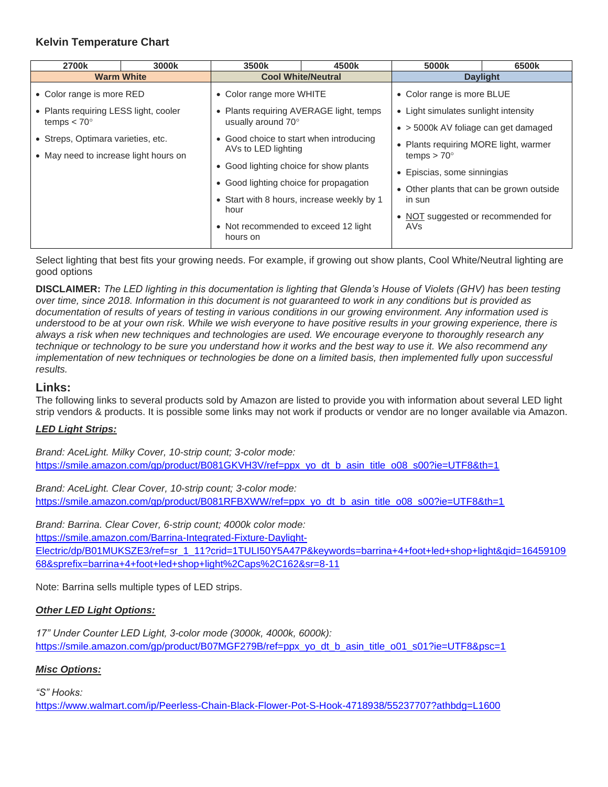#### **Kelvin Temperature Chart**

| 2700k                                                         | 3000k | 3500k                                                                                                  | 4500k                                    | 5000k                                                       | 6500k |
|---------------------------------------------------------------|-------|--------------------------------------------------------------------------------------------------------|------------------------------------------|-------------------------------------------------------------|-------|
| <b>Warm White</b>                                             |       | <b>Cool White/Neutral</b>                                                                              |                                          | <b>Daylight</b>                                             |       |
| • Color range is more RED                                     |       | • Color range more WHITE                                                                               |                                          | • Color range is more BLUE                                  |       |
| • Plants requiring LESS light, cooler<br>temps $< 70^{\circ}$ |       | • Plants requiring AVERAGE light, temps<br>usually around 70°                                          |                                          | • Light simulates sunlight intensity                        |       |
|                                                               |       |                                                                                                        |                                          | $\bullet$ > 5000k AV foliage can get damaged                |       |
| • Streps, Optimara varieties, etc.                            |       | • Good choice to start when introducing<br>AVs to LED lighting                                         |                                          | • Plants requiring MORE light, warmer<br>temps $> 70^\circ$ |       |
| • May need to increase light hours on                         |       |                                                                                                        |                                          |                                                             |       |
|                                                               |       | • Good lighting choice for show plants                                                                 |                                          | • Episcias, some sinningias                                 |       |
|                                                               |       | • Good lighting choice for propagation                                                                 |                                          |                                                             |       |
|                                                               |       |                                                                                                        | • Other plants that can be grown outside |                                                             |       |
|                                                               |       | • Start with 8 hours, increase weekly by 1<br>hour<br>• Not recommended to exceed 12 light<br>hours on |                                          | in sun                                                      |       |
|                                                               |       |                                                                                                        |                                          | • NOT suggested or recommended for<br>AVs.                  |       |
|                                                               |       |                                                                                                        |                                          |                                                             |       |

Select lighting that best fits your growing needs. For example, if growing out show plants, Cool White/Neutral lighting are good options

**DISCLAIMER:** *The LED lighting in this documentation is lighting that Glenda's House of Violets (GHV) has been testing over time, since 2018. Information in this document is not guaranteed to work in any conditions but is provided as documentation of results of years of testing in various conditions in our growing environment. Any information used is understood to be at your own risk. While we wish everyone to have positive results in your growing experience, there is always a risk when new techniques and technologies are used. We encourage everyone to thoroughly research any technique or technology to be sure you understand how it works and the best way to use it. We also recommend any implementation of new techniques or technologies be done on a limited basis, then implemented fully upon successful results.*

### **Links:**

The following links to several products sold by Amazon are listed to provide you with information about several LED light strip vendors & products. It is possible some links may not work if products or vendor are no longer available via Amazon.

#### *LED Light Strips:*

*Brand: AceLight. Milky Cover, 10-strip count; 3-color mode:* [https://smile.amazon.com/gp/product/B081GKVH3V/ref=ppx\\_yo\\_dt\\_b\\_asin\\_title\\_o08\\_s00?ie=UTF8&th=1](https://smile.amazon.com/gp/product/B081GKVH3V/ref=ppx_yo_dt_b_asin_title_o08_s00?ie=UTF8&th=1)

*Brand: AceLight. Clear Cover, 10-strip count; 3-color mode:* [https://smile.amazon.com/gp/product/B081RFBXWW/ref=ppx\\_yo\\_dt\\_b\\_asin\\_title\\_o08\\_s00?ie=UTF8&th=1](https://smile.amazon.com/gp/product/B081RFBXWW/ref=ppx_yo_dt_b_asin_title_o08_s00?ie=UTF8&th=1)

*Brand: Barrina. Clear Cover, 6-strip count; 4000k color mode:*

[https://smile.amazon.com/Barrina-Integrated-Fixture-Daylight-](https://smile.amazon.com/Barrina-Integrated-Fixture-Daylight-Electric/dp/B01MUKSZE3/ref=sr_1_11?crid=1TULI50Y5A47P&keywords=barrina+4+foot+led+shop+light&qid=1645910968&sprefix=barrina+4+foot+led+shop+light%2Caps%2C162&sr=8-11)

[Electric/dp/B01MUKSZE3/ref=sr\\_1\\_11?crid=1TULI50Y5A47P&keywords=barrina+4+foot+led+shop+light&qid=16459109](https://smile.amazon.com/Barrina-Integrated-Fixture-Daylight-Electric/dp/B01MUKSZE3/ref=sr_1_11?crid=1TULI50Y5A47P&keywords=barrina+4+foot+led+shop+light&qid=1645910968&sprefix=barrina+4+foot+led+shop+light%2Caps%2C162&sr=8-11) [68&sprefix=barrina+4+foot+led+shop+light%2Caps%2C162&sr=8-11](https://smile.amazon.com/Barrina-Integrated-Fixture-Daylight-Electric/dp/B01MUKSZE3/ref=sr_1_11?crid=1TULI50Y5A47P&keywords=barrina+4+foot+led+shop+light&qid=1645910968&sprefix=barrina+4+foot+led+shop+light%2Caps%2C162&sr=8-11)

Note: Barrina sells multiple types of LED strips.

#### *Other LED Light Options:*

*17" Under Counter LED Light, 3-color mode (3000k, 4000k, 6000k):* [https://smile.amazon.com/gp/product/B07MGF279B/ref=ppx\\_yo\\_dt\\_b\\_asin\\_title\\_o01\\_s01?ie=UTF8&psc=1](https://smile.amazon.com/gp/product/B07MGF279B/ref=ppx_yo_dt_b_asin_title_o01_s01?ie=UTF8&psc=1)

#### *Misc Options:*

*"S" Hooks:* 

<https://www.walmart.com/ip/Peerless-Chain-Black-Flower-Pot-S-Hook-4718938/55237707?athbdg=L1600>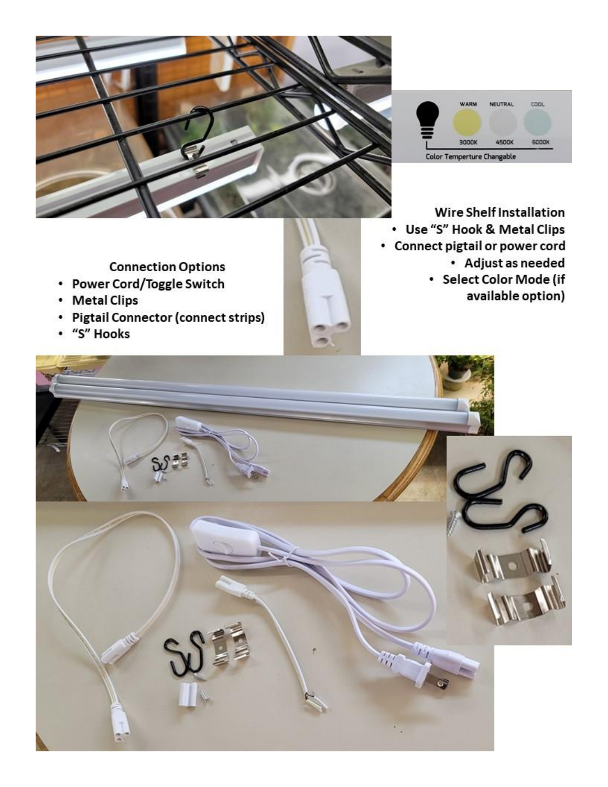



**Wire Shelf Installation** • Use "S" Hook & Metal Clips • Connect pigtail or power cord • Adjust as needed · Select Color Mode (if available option)

**Connection Options** 

- Power Cord/Toggle Switch
- Metal Clips
- Pigtail Connector (connect strips)
- · "S" Hooks